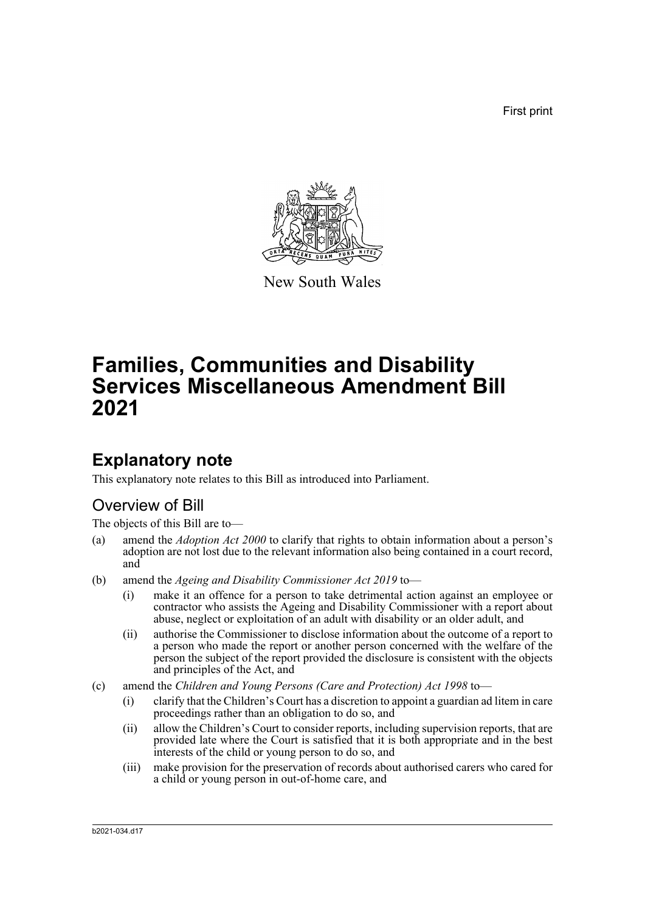First print



New South Wales

# **Families, Communities and Disability Services Miscellaneous Amendment Bill 2021**

### **Explanatory note**

This explanatory note relates to this Bill as introduced into Parliament.

### Overview of Bill

The objects of this Bill are to—

- (a) amend the *Adoption Act 2000* to clarify that rights to obtain information about a person's adoption are not lost due to the relevant information also being contained in a court record, and
- (b) amend the *Ageing and Disability Commissioner Act 2019* to—
	- (i) make it an offence for a person to take detrimental action against an employee or contractor who assists the Ageing and Disability Commissioner with a report about abuse, neglect or exploitation of an adult with disability or an older adult, and
	- (ii) authorise the Commissioner to disclose information about the outcome of a report to a person who made the report or another person concerned with the welfare of the person the subject of the report provided the disclosure is consistent with the objects and principles of the Act, and
- (c) amend the *Children and Young Persons (Care and Protection) Act 1998* to—
	- (i) clarify that the Children's Court has a discretion to appoint a guardian ad litem in care proceedings rather than an obligation to do so, and
	- (ii) allow the Children's Court to consider reports, including supervision reports, that are provided late where the Court is satisfied that it is both appropriate and in the best interests of the child or young person to do so, and
	- (iii) make provision for the preservation of records about authorised carers who cared for a child or young person in out-of-home care, and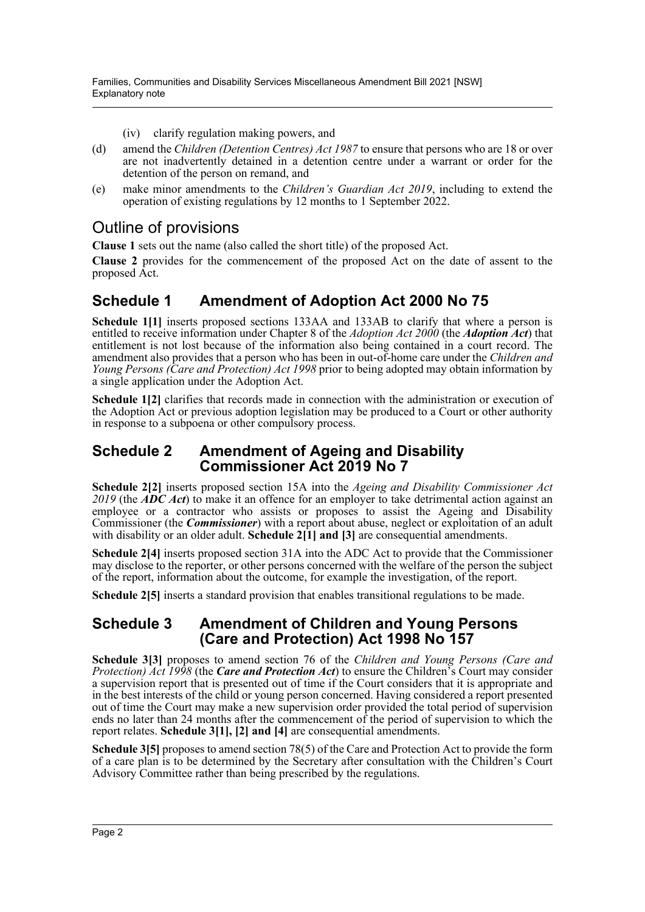- (iv) clarify regulation making powers, and
- (d) amend the *Children (Detention Centres) Act 1987* to ensure that persons who are 18 or over are not inadvertently detained in a detention centre under a warrant or order for the detention of the person on remand, and
- (e) make minor amendments to the *Children's Guardian Act 2019*, including to extend the operation of existing regulations by 12 months to 1 September 2022.

### Outline of provisions

**Clause 1** sets out the name (also called the short title) of the proposed Act.

**Clause 2** provides for the commencement of the proposed Act on the date of assent to the proposed Act.

### **Schedule 1 Amendment of Adoption Act 2000 No 75**

**Schedule 1[1]** inserts proposed sections 133AA and 133AB to clarify that where a person is entitled to receive information under Chapter 8 of the *Adoption Act 2000* (the *Adoption Act*) that entitlement is not lost because of the information also being contained in a court record. The amendment also provides that a person who has been in out-of-home care under the *Children and Young Persons (Care and Protection) Act 1998* prior to being adopted may obtain information by a single application under the Adoption Act.

**Schedule 1[2]** clarifies that records made in connection with the administration or execution of the Adoption Act or previous adoption legislation may be produced to a Court or other authority in response to a subpoena or other compulsory process.

#### **Schedule 2 Amendment of Ageing and Disability Commissioner Act 2019 No 7**

**Schedule 2[2]** inserts proposed section 15A into the *Ageing and Disability Commissioner Act 2019* (the *ADC Act*) to make it an offence for an employer to take detrimental action against an employee or a contractor who assists or proposes to assist the Ageing and Disability Commissioner (the *Commissioner*) with a report about abuse, neglect or exploitation of an adult with disability or an older adult. **Schedule 2[1] and [3]** are consequential amendments.

**Schedule 2[4]** inserts proposed section 31A into the ADC Act to provide that the Commissioner may disclose to the reporter, or other persons concerned with the welfare of the person the subject of the report, information about the outcome, for example the investigation, of the report.

**Schedule 2[5]** inserts a standard provision that enables transitional regulations to be made.

#### **Schedule 3 Amendment of Children and Young Persons (Care and Protection) Act 1998 No 157**

**Schedule 3[3]** proposes to amend section 76 of the *Children and Young Persons (Care and Protection) Act 1998* (the *Care and Protection Act*) to ensure the Children's Court may consider a supervision report that is presented out of time if the Court considers that it is appropriate and in the best interests of the child or young person concerned. Having considered a report presented out of time the Court may make a new supervision order provided the total period of supervision ends no later than 24 months after the commencement of the period of supervision to which the report relates. **Schedule 3[1], [2] and [4]** are consequential amendments.

**Schedule 3[5]** proposes to amend section 78(5) of the Care and Protection Act to provide the form of a care plan is to be determined by the Secretary after consultation with the Children's Court Advisory Committee rather than being prescribed by the regulations.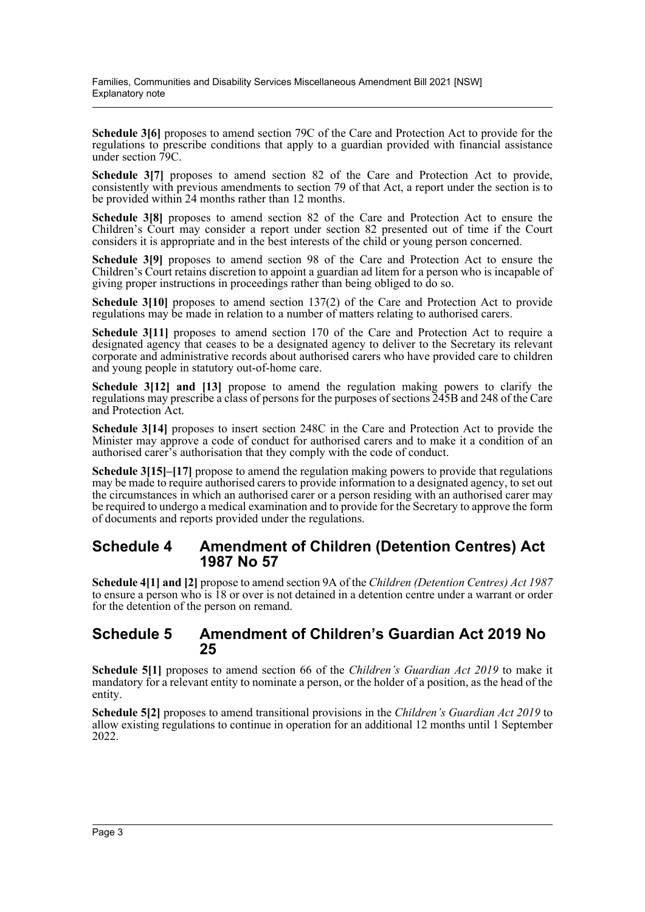**Schedule 3[6]** proposes to amend section 79C of the Care and Protection Act to provide for the regulations to prescribe conditions that apply to a guardian provided with financial assistance under section 79C.

Schedule 3<sup>[7]</sup> proposes to amend section 82 of the Care and Protection Act to provide, consistently with previous amendments to section 79 of that Act, a report under the section is to be provided within 24 months rather than 12 months.

**Schedule 3[8]** proposes to amend section 82 of the Care and Protection Act to ensure the Children's Court may consider a report under section 82 presented out of time if the Court considers it is appropriate and in the best interests of the child or young person concerned.

**Schedule 3[9]** proposes to amend section 98 of the Care and Protection Act to ensure the Children's Court retains discretion to appoint a guardian ad litem for a person who is incapable of giving proper instructions in proceedings rather than being obliged to do so.

**Schedule 3[10]** proposes to amend section 137(2) of the Care and Protection Act to provide regulations may be made in relation to a number of matters relating to authorised carers.

**Schedule 3[11]** proposes to amend section 170 of the Care and Protection Act to require a designated agency that ceases to be a designated agency to deliver to the Secretary its relevant corporate and administrative records about authorised carers who have provided care to children and young people in statutory out-of-home care.

**Schedule 3[12] and [13]** propose to amend the regulation making powers to clarify the regulations may prescribe a class of persons for the purposes of sections 245B and 248 of the Care and Protection Act.

**Schedule 3[14]** proposes to insert section 248C in the Care and Protection Act to provide the Minister may approve a code of conduct for authorised carers and to make it a condition of an authorised carer's authorisation that they comply with the code of conduct.

**Schedule 3[15]–[17]** propose to amend the regulation making powers to provide that regulations may be made to require authorised carers to provide information to a designated agency, to set out the circumstances in which an authorised carer or a person residing with an authorised carer may be required to undergo a medical examination and to provide for the Secretary to approve the form of documents and reports provided under the regulations.

#### **Schedule 4 Amendment of Children (Detention Centres) Act 1987 No 57**

**Schedule 4[1] and [2]** propose to amend section 9A of the *Children (Detention Centres) Act 1987* to ensure a person who is 18 or over is not detained in a detention centre under a warrant or order for the detention of the person on remand.

#### **Schedule 5 Amendment of Children's Guardian Act 2019 No 25**

**Schedule 5[1]** proposes to amend section 66 of the *Children's Guardian Act 2019* to make it mandatory for a relevant entity to nominate a person, or the holder of a position, as the head of the entity.

**Schedule 5[2]** proposes to amend transitional provisions in the *Children's Guardian Act 2019* to allow existing regulations to continue in operation for an additional 12 months until 1 September 2022.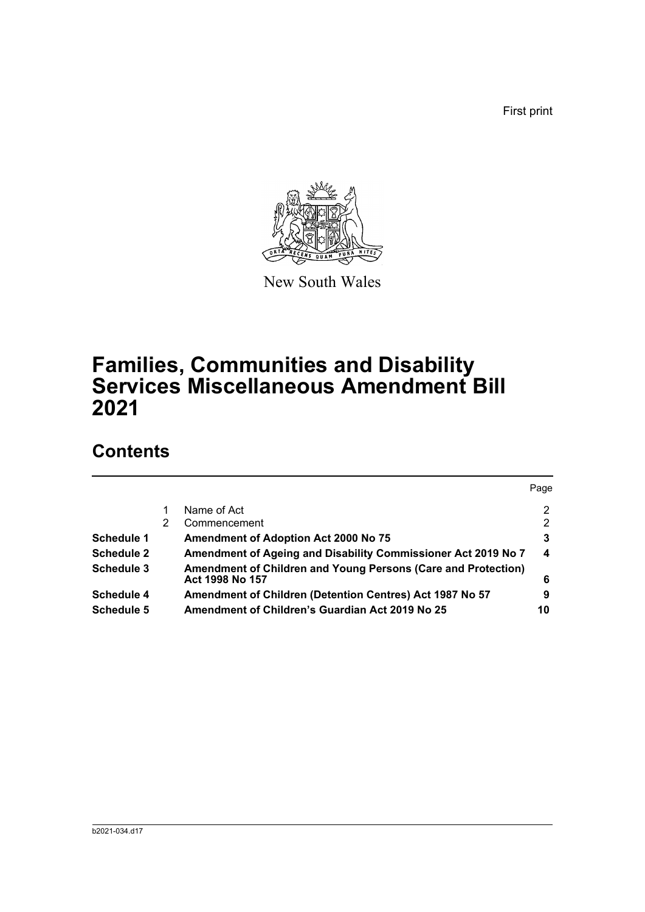First print



New South Wales

# **Families, Communities and Disability Services Miscellaneous Amendment Bill 2021**

## **Contents**

|                   |   |                                                                                  | Page             |
|-------------------|---|----------------------------------------------------------------------------------|------------------|
|                   |   | Name of Act                                                                      | 2                |
|                   | 2 | Commencement                                                                     | 2                |
| Schedule 1        |   | Amendment of Adoption Act 2000 No 75                                             | 3                |
| <b>Schedule 2</b> |   | Amendment of Ageing and Disability Commissioner Act 2019 No 7                    | $\boldsymbol{4}$ |
| <b>Schedule 3</b> |   | Amendment of Children and Young Persons (Care and Protection)<br>Act 1998 No 157 | 6                |
| <b>Schedule 4</b> |   | Amendment of Children (Detention Centres) Act 1987 No 57                         | 9                |
| <b>Schedule 5</b> |   | Amendment of Children's Guardian Act 2019 No 25                                  | 10               |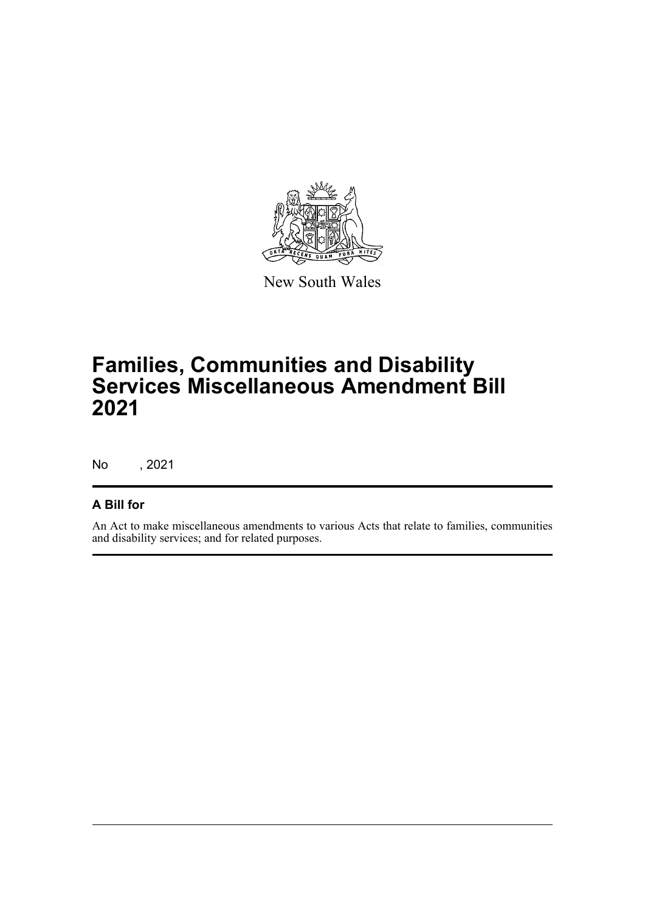

New South Wales

# **Families, Communities and Disability Services Miscellaneous Amendment Bill 2021**

No , 2021

#### **A Bill for**

An Act to make miscellaneous amendments to various Acts that relate to families, communities and disability services; and for related purposes.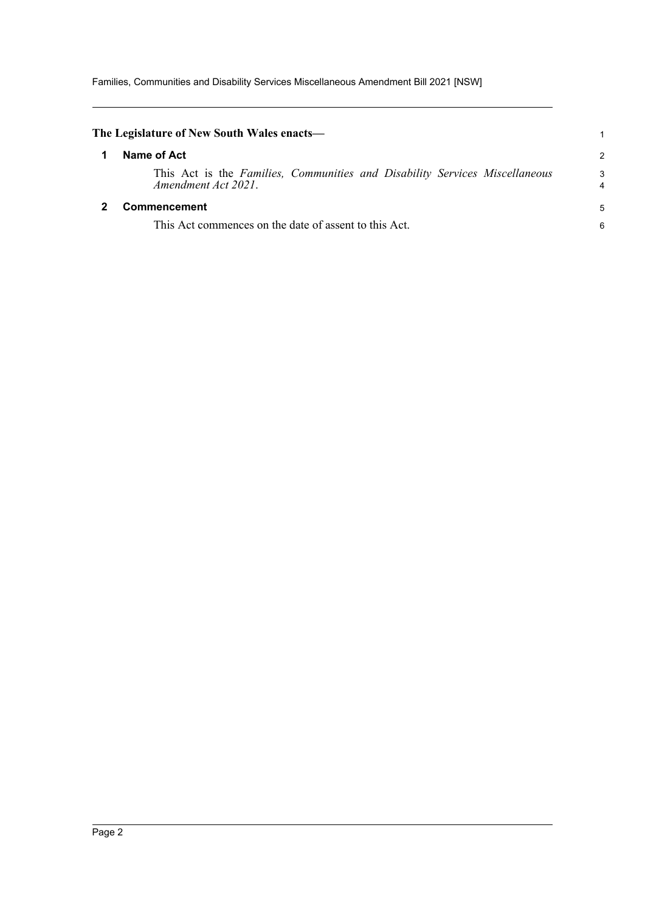Families, Communities and Disability Services Miscellaneous Amendment Bill 2021 [NSW]

<span id="page-5-1"></span><span id="page-5-0"></span>

| The Legislature of New South Wales enacts—                                                         |        |
|----------------------------------------------------------------------------------------------------|--------|
| Name of Act                                                                                        | 2      |
| This Act is the Families, Communities and Disability Services Miscellaneous<br>Amendment Act 2021. | 3<br>4 |
| <b>Commencement</b>                                                                                |        |
| This Act commences on the date of assent to this Act.                                              | 6      |
|                                                                                                    |        |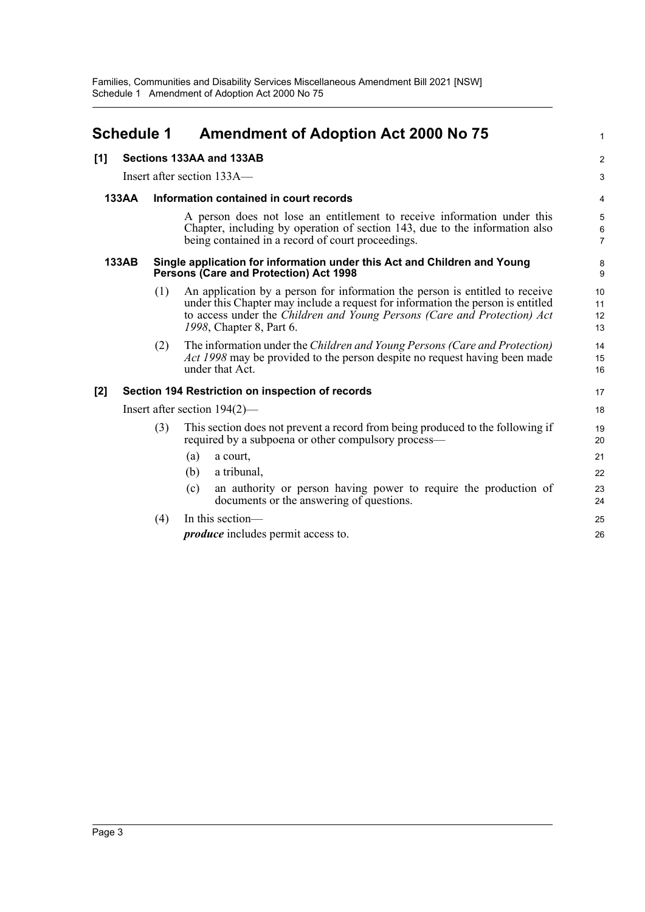<span id="page-6-0"></span>

| <b>Schedule 1</b> |              |     | <b>Amendment of Adoption Act 2000 No 75</b>                                                                                                                                                                                                                             |                          |
|-------------------|--------------|-----|-------------------------------------------------------------------------------------------------------------------------------------------------------------------------------------------------------------------------------------------------------------------------|--------------------------|
| [1]               |              |     | Sections 133AA and 133AB                                                                                                                                                                                                                                                | $\overline{a}$           |
|                   |              |     | Insert after section 133A—                                                                                                                                                                                                                                              | 3                        |
|                   | <b>133AA</b> |     | Information contained in court records                                                                                                                                                                                                                                  | 4                        |
|                   |              |     | A person does not lose an entitlement to receive information under this<br>Chapter, including by operation of section 143, due to the information also<br>being contained in a record of court proceedings.                                                             | 5<br>6<br>$\overline{7}$ |
|                   | 133AB        |     | Single application for information under this Act and Children and Young<br>Persons (Care and Protection) Act 1998                                                                                                                                                      | 8<br>9                   |
|                   |              | (1) | An application by a person for information the person is entitled to receive<br>under this Chapter may include a request for information the person is entitled<br>to access under the Children and Young Persons (Care and Protection) Act<br>1998, Chapter 8, Part 6. | 10<br>11<br>12<br>13     |
|                   |              | (2) | The information under the Children and Young Persons (Care and Protection)<br>Act 1998 may be provided to the person despite no request having been made<br>under that Act.                                                                                             | 14<br>15<br>16           |
| [2]               |              |     | Section 194 Restriction on inspection of records                                                                                                                                                                                                                        | 17                       |
|                   |              |     | Insert after section $194(2)$ —                                                                                                                                                                                                                                         | 18                       |
|                   |              | (3) | This section does not prevent a record from being produced to the following if<br>required by a subpoena or other compulsory process—                                                                                                                                   | 19<br>20                 |
|                   |              |     | (a)<br>a court,                                                                                                                                                                                                                                                         | 21                       |
|                   |              |     | a tribunal,<br>(b)                                                                                                                                                                                                                                                      | 22                       |
|                   |              |     | an authority or person having power to require the production of<br>(c)<br>documents or the answering of questions.                                                                                                                                                     | 23<br>24                 |
|                   |              | (4) | In this section-                                                                                                                                                                                                                                                        | 25                       |
|                   |              |     | <i>produce</i> includes permit access to.                                                                                                                                                                                                                               | 26                       |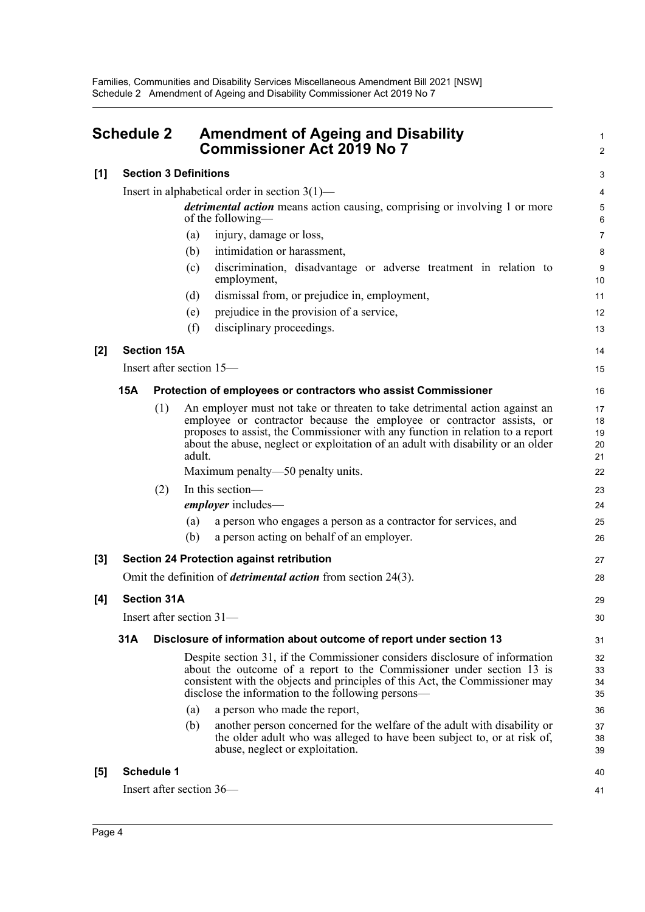<span id="page-7-0"></span>

|       | <b>Schedule 2</b> |                    | <b>Amendment of Ageing and Disability</b><br><b>Commissioner Act 2019 No 7</b>                                                                                                                                                                                                                                                       | 1<br>$\overline{a}$        |
|-------|-------------------|--------------------|--------------------------------------------------------------------------------------------------------------------------------------------------------------------------------------------------------------------------------------------------------------------------------------------------------------------------------------|----------------------------|
| [1]   |                   |                    | <b>Section 3 Definitions</b>                                                                                                                                                                                                                                                                                                         | 3                          |
|       |                   |                    | Insert in alphabetical order in section $3(1)$ —                                                                                                                                                                                                                                                                                     | 4                          |
|       |                   |                    | <i>detrimental action</i> means action causing, comprising or involving 1 or more<br>of the following—                                                                                                                                                                                                                               | 5<br>6                     |
|       |                   |                    | injury, damage or loss,<br>(a)                                                                                                                                                                                                                                                                                                       | 7                          |
|       |                   |                    | intimidation or harassment,<br>(b)                                                                                                                                                                                                                                                                                                   | 8                          |
|       |                   |                    | discrimination, disadvantage or adverse treatment in relation to<br>(c)<br>employment,                                                                                                                                                                                                                                               | 9<br>10                    |
|       |                   |                    | dismissal from, or prejudice in, employment,<br>(d)                                                                                                                                                                                                                                                                                  | 11                         |
|       |                   |                    | prejudice in the provision of a service,<br>(e)                                                                                                                                                                                                                                                                                      | 12                         |
|       |                   |                    | (f)<br>disciplinary proceedings.                                                                                                                                                                                                                                                                                                     | 13                         |
| $[2]$ |                   | <b>Section 15A</b> |                                                                                                                                                                                                                                                                                                                                      | 14                         |
|       |                   |                    | Insert after section 15—                                                                                                                                                                                                                                                                                                             | 15                         |
|       | <b>15A</b>        |                    | Protection of employees or contractors who assist Commissioner                                                                                                                                                                                                                                                                       | 16                         |
|       |                   | (1)                | An employer must not take or threaten to take detrimental action against an<br>employee or contractor because the employee or contractor assists, or<br>proposes to assist, the Commissioner with any function in relation to a report<br>about the abuse, neglect or exploitation of an adult with disability or an older<br>adult. | 17<br>18<br>19<br>20<br>21 |
|       |                   |                    | Maximum penalty—50 penalty units.                                                                                                                                                                                                                                                                                                    | 22                         |
|       |                   | (2)                | In this section-<br>employer includes-                                                                                                                                                                                                                                                                                               | 23<br>24                   |
|       |                   |                    | a person who engages a person as a contractor for services, and<br>(a)<br>a person acting on behalf of an employer.<br>(b)                                                                                                                                                                                                           | 25<br>26                   |
| [3]   |                   |                    | <b>Section 24 Protection against retribution</b>                                                                                                                                                                                                                                                                                     | 27                         |
|       |                   |                    | Omit the definition of <i>detrimental action</i> from section 24(3).                                                                                                                                                                                                                                                                 | 28                         |
| [4]   |                   | <b>Section 31A</b> |                                                                                                                                                                                                                                                                                                                                      | 29                         |
|       |                   |                    | Insert after section $31-$                                                                                                                                                                                                                                                                                                           | 30                         |
|       | 31A               |                    | Disclosure of information about outcome of report under section 13                                                                                                                                                                                                                                                                   | 31                         |
|       |                   |                    | Despite section 31, if the Commissioner considers disclosure of information<br>about the outcome of a report to the Commissioner under section 13 is<br>consistent with the objects and principles of this Act, the Commissioner may<br>disclose the information to the following persons—                                           | 32<br>33<br>34<br>35       |
|       |                   |                    | a person who made the report,<br>(a)                                                                                                                                                                                                                                                                                                 | 36                         |
|       |                   |                    | another person concerned for the welfare of the adult with disability or<br>(b)<br>the older adult who was alleged to have been subject to, or at risk of,<br>abuse, neglect or exploitation.                                                                                                                                        | 37<br>38<br>39             |
| [5]   |                   | <b>Schedule 1</b>  |                                                                                                                                                                                                                                                                                                                                      | 40                         |
|       |                   |                    | Insert after section 36—                                                                                                                                                                                                                                                                                                             | 41                         |
|       |                   |                    |                                                                                                                                                                                                                                                                                                                                      |                            |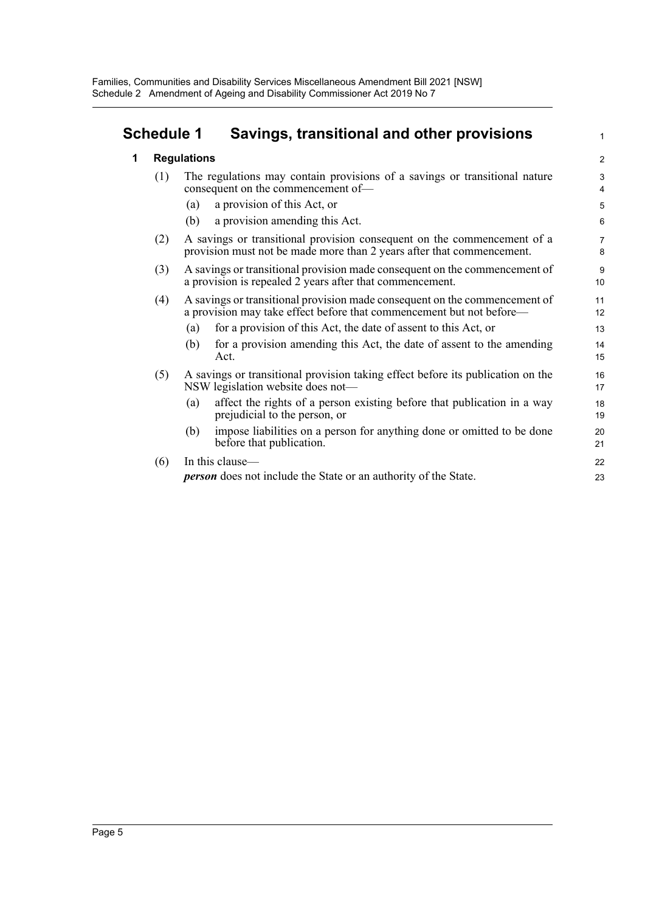### **Schedule 1 Savings, transitional and other provisions**

1

| 1 |     | <b>Regulations</b>                                                                                               |                                                                                                                                                    |  |  |  |
|---|-----|------------------------------------------------------------------------------------------------------------------|----------------------------------------------------------------------------------------------------------------------------------------------------|--|--|--|
|   | (1) | The regulations may contain provisions of a savings or transitional nature<br>consequent on the commencement of- |                                                                                                                                                    |  |  |  |
|   |     | (a)                                                                                                              | a provision of this Act, or                                                                                                                        |  |  |  |
|   |     | (b)                                                                                                              | a provision amending this Act.                                                                                                                     |  |  |  |
|   | (2) |                                                                                                                  | A savings or transitional provision consequent on the commencement of a<br>provision must not be made more than 2 years after that commencement.   |  |  |  |
|   | (3) |                                                                                                                  | A savings or transitional provision made consequent on the commencement of<br>a provision is repealed 2 years after that commencement.             |  |  |  |
|   | (4) |                                                                                                                  | A savings or transitional provision made consequent on the commencement of<br>a provision may take effect before that commencement but not before— |  |  |  |
|   |     | (a)                                                                                                              | for a provision of this Act, the date of assent to this Act, or                                                                                    |  |  |  |
|   |     | (b)                                                                                                              | for a provision amending this Act, the date of assent to the amending<br>Act.                                                                      |  |  |  |
|   | (5) |                                                                                                                  | A savings or transitional provision taking effect before its publication on the<br>NSW legislation website does not—                               |  |  |  |
|   |     | (a)                                                                                                              | affect the rights of a person existing before that publication in a way<br>prejudicial to the person, or                                           |  |  |  |
|   |     | (b)                                                                                                              | impose liabilities on a person for anything done or omitted to be done<br>before that publication.                                                 |  |  |  |

| $(6)$ In this clause—                                                  |
|------------------------------------------------------------------------|
| <i>person</i> does not include the State or an authority of the State. |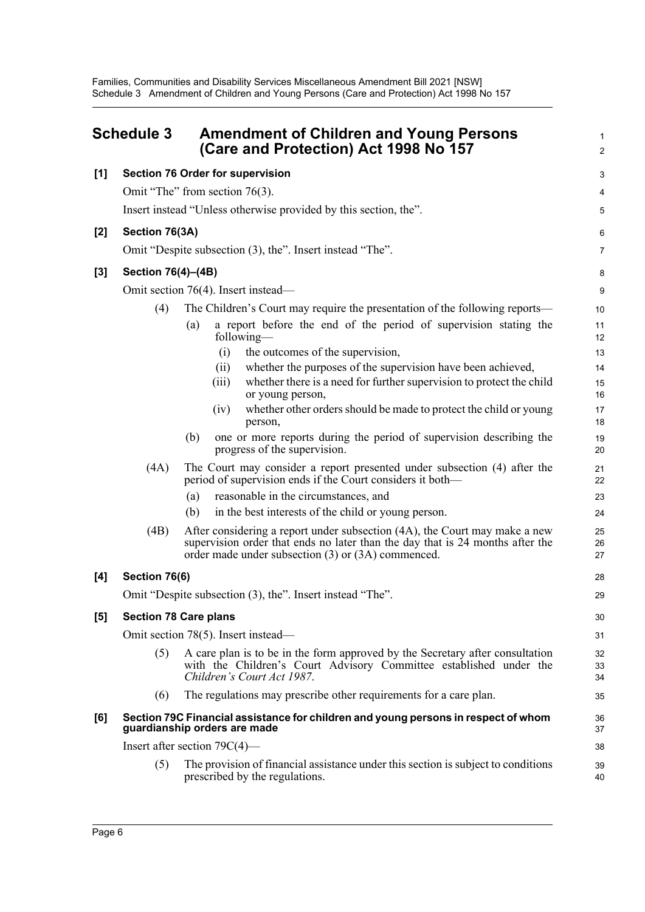<span id="page-9-0"></span>

|     | <b>Schedule 3</b>  | <b>Amendment of Children and Young Persons</b><br>(Care and Protection) Act 1998 No 157                                                                                                                           | 1<br>$\overline{2}$ |
|-----|--------------------|-------------------------------------------------------------------------------------------------------------------------------------------------------------------------------------------------------------------|---------------------|
| [1] |                    | <b>Section 76 Order for supervision</b>                                                                                                                                                                           | 3                   |
|     |                    | Omit "The" from section 76(3).                                                                                                                                                                                    | 4                   |
|     |                    | Insert instead "Unless otherwise provided by this section, the".                                                                                                                                                  | 5                   |
| [2] | Section 76(3A)     |                                                                                                                                                                                                                   | 6                   |
|     |                    | Omit "Despite subsection (3), the". Insert instead "The".                                                                                                                                                         | 7                   |
| [3] | Section 76(4)-(4B) |                                                                                                                                                                                                                   | 8                   |
|     |                    | Omit section 76(4). Insert instead—                                                                                                                                                                               | 9                   |
|     | (4)                | The Children's Court may require the presentation of the following reports-                                                                                                                                       | 10                  |
|     |                    | a report before the end of the period of supervision stating the<br>(a)<br>following—                                                                                                                             | 11<br>12            |
|     |                    | (i)<br>the outcomes of the supervision,                                                                                                                                                                           | 13                  |
|     |                    | whether the purposes of the supervision have been achieved,<br>(i)                                                                                                                                                | 14                  |
|     |                    | whether there is a need for further supervision to protect the child<br>(iii)<br>or young person,                                                                                                                 | 15<br>16            |
|     |                    | whether other orders should be made to protect the child or young<br>(iv)<br>person,                                                                                                                              | 17<br>18            |
|     |                    | one or more reports during the period of supervision describing the<br>(b)<br>progress of the supervision.                                                                                                        | 19<br>20            |
|     | (4A)               | The Court may consider a report presented under subsection (4) after the<br>period of supervision ends if the Court considers it both—                                                                            | 21<br>22            |
|     |                    | reasonable in the circumstances, and<br>(a)                                                                                                                                                                       | 23                  |
|     |                    | in the best interests of the child or young person.<br>(b)                                                                                                                                                        | 24                  |
|     | (4B)               | After considering a report under subsection (4A), the Court may make a new<br>supervision order that ends no later than the day that is 24 months after the<br>order made under subsection (3) or (3A) commenced. | 25<br>26<br>27      |
| [4] | Section 76(6)      |                                                                                                                                                                                                                   | 28                  |
|     |                    | Omit "Despite subsection (3), the". Insert instead "The".                                                                                                                                                         | 29                  |
| [5] |                    | <b>Section 78 Care plans</b>                                                                                                                                                                                      | 30                  |
|     |                    | Omit section 78(5). Insert instead—                                                                                                                                                                               | 31                  |
|     | (5)                | A care plan is to be in the form approved by the Secretary after consultation<br>with the Children's Court Advisory Committee established under the<br>Children's Court Act 1987.                                 | 32<br>33<br>34      |
|     | (6)                | The regulations may prescribe other requirements for a care plan.                                                                                                                                                 | 35                  |
| [6] |                    | Section 79C Financial assistance for children and young persons in respect of whom<br>guardianship orders are made                                                                                                | 36<br>37            |
|     |                    | Insert after section $79C(4)$ —                                                                                                                                                                                   | 38                  |
|     | (5)                | The provision of financial assistance under this section is subject to conditions<br>prescribed by the regulations.                                                                                               | 39<br>40            |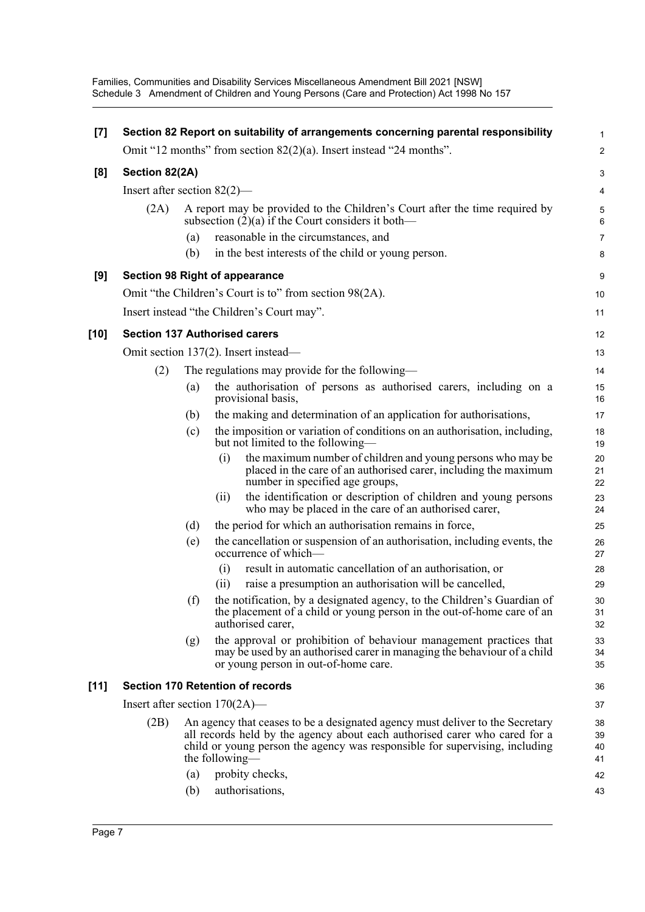Families, Communities and Disability Services Miscellaneous Amendment Bill 2021 [NSW] Schedule 3 Amendment of Children and Young Persons (Care and Protection) Act 1998 No 157

| [7]    |                                |     | Section 82 Report on suitability of arrangements concerning parental responsibility                                                                                                                                                                          | 1                    |
|--------|--------------------------------|-----|--------------------------------------------------------------------------------------------------------------------------------------------------------------------------------------------------------------------------------------------------------------|----------------------|
|        |                                |     | Omit "12 months" from section $82(2)(a)$ . Insert instead "24 months".                                                                                                                                                                                       | $\boldsymbol{2}$     |
| [8]    | Section 82(2A)                 |     |                                                                                                                                                                                                                                                              | 3                    |
|        | Insert after section $82(2)$ — |     |                                                                                                                                                                                                                                                              | 4                    |
|        | (2A)                           |     | A report may be provided to the Children's Court after the time required by<br>subsection $(2)(a)$ if the Court considers it both—                                                                                                                           | 5<br>6               |
|        |                                | (a) | reasonable in the circumstances, and                                                                                                                                                                                                                         | $\overline{7}$       |
|        |                                | (b) | in the best interests of the child or young person.                                                                                                                                                                                                          | 8                    |
| [9]    |                                |     | <b>Section 98 Right of appearance</b>                                                                                                                                                                                                                        | 9                    |
|        |                                |     | Omit "the Children's Court is to" from section 98(2A).                                                                                                                                                                                                       | 10                   |
|        |                                |     | Insert instead "the Children's Court may".                                                                                                                                                                                                                   | 11                   |
| $[10]$ |                                |     | <b>Section 137 Authorised carers</b>                                                                                                                                                                                                                         | 12                   |
|        |                                |     | Omit section 137(2). Insert instead—                                                                                                                                                                                                                         | 13                   |
|        | (2)                            |     | The regulations may provide for the following—                                                                                                                                                                                                               | 14                   |
|        |                                | (a) | the authorisation of persons as authorised carers, including on a<br>provisional basis,                                                                                                                                                                      | 15<br>16             |
|        |                                | (b) | the making and determination of an application for authorisations,                                                                                                                                                                                           | 17                   |
|        |                                | (c) | the imposition or variation of conditions on an authorisation, including,<br>but not limited to the following—                                                                                                                                               | 18<br>19             |
|        |                                |     | the maximum number of children and young persons who may be<br>(i)<br>placed in the care of an authorised carer, including the maximum<br>number in specified age groups,                                                                                    | 20<br>21<br>22       |
|        |                                |     | the identification or description of children and young persons<br>(ii)<br>who may be placed in the care of an authorised carer,                                                                                                                             | 23<br>24             |
|        |                                | (d) | the period for which an authorisation remains in force,                                                                                                                                                                                                      | 25                   |
|        |                                | (e) | the cancellation or suspension of an authorisation, including events, the<br>occurrence of which-                                                                                                                                                            | 26<br>27             |
|        |                                |     | (i)<br>result in automatic cancellation of an authorisation, or                                                                                                                                                                                              | 28                   |
|        |                                |     | raise a presumption an authorisation will be cancelled,<br>(i)                                                                                                                                                                                               | 29                   |
|        |                                | (f) | the notification, by a designated agency, to the Children's Guardian of<br>the placement of a child or young person in the out-of-home care of an<br>authorised carer,                                                                                       | 30<br>31<br>32       |
|        |                                | (g) | the approval or prohibition of behaviour management practices that<br>may be used by an authorised carer in managing the behaviour of a child<br>or young person in out-of-home care.                                                                        | 33<br>34<br>35       |
| [11]   |                                |     | <b>Section 170 Retention of records</b>                                                                                                                                                                                                                      | 36                   |
|        |                                |     | Insert after section $170(2A)$ —                                                                                                                                                                                                                             | 37                   |
|        | (2B)                           |     | An agency that ceases to be a designated agency must deliver to the Secretary<br>all records held by the agency about each authorised carer who cared for a<br>child or young person the agency was responsible for supervising, including<br>the following— | 38<br>39<br>40<br>41 |
|        |                                | (a) | probity checks,                                                                                                                                                                                                                                              | 42                   |
|        |                                | (b) | authorisations,                                                                                                                                                                                                                                              | 43                   |
|        |                                |     |                                                                                                                                                                                                                                                              |                      |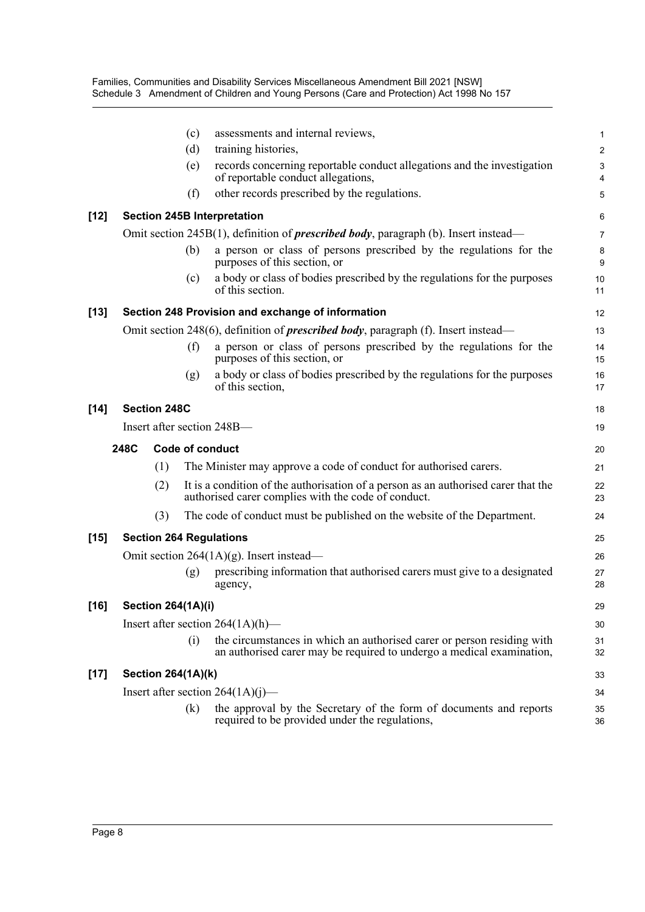|        |      |                           | (c) | assessments and internal reviews,                                                                                                               | 1              |
|--------|------|---------------------------|-----|-------------------------------------------------------------------------------------------------------------------------------------------------|----------------|
|        |      |                           | (d) | training histories,                                                                                                                             | $\overline{c}$ |
|        |      |                           | (e) | records concerning reportable conduct allegations and the investigation<br>of reportable conduct allegations,                                   | 3<br>4         |
|        |      |                           | (f) | other records prescribed by the regulations.                                                                                                    | 5              |
| $[12]$ |      |                           |     | <b>Section 245B Interpretation</b>                                                                                                              | 6              |
|        |      |                           |     | Omit section 245B(1), definition of <i>prescribed body</i> , paragraph (b). Insert instead—                                                     | 7              |
|        |      |                           | (b) | a person or class of persons prescribed by the regulations for the<br>purposes of this section, or                                              | 8<br>9         |
|        |      |                           | (c) | a body or class of bodies prescribed by the regulations for the purposes<br>of this section.                                                    | 10<br>11       |
| $[13]$ |      |                           |     | Section 248 Provision and exchange of information                                                                                               | 12             |
|        |      |                           |     | Omit section 248(6), definition of <i>prescribed body</i> , paragraph (f). Insert instead—                                                      | 13             |
|        |      |                           | (f) | a person or class of persons prescribed by the regulations for the<br>purposes of this section, or                                              | 14<br>15       |
|        |      |                           | (g) | a body or class of bodies prescribed by the regulations for the purposes<br>of this section,                                                    | 16<br>17       |
| $[14]$ |      | <b>Section 248C</b>       |     |                                                                                                                                                 | 18             |
|        |      |                           |     | Insert after section 248B-                                                                                                                      | 19             |
|        | 248C |                           |     | Code of conduct                                                                                                                                 | 20             |
|        |      | (1)                       |     | The Minister may approve a code of conduct for authorised carers.                                                                               | 21             |
|        |      | (2)                       |     | It is a condition of the authorisation of a person as an authorised carer that the<br>authorised carer complies with the code of conduct.       | 22<br>23       |
|        |      | (3)                       |     | The code of conduct must be published on the website of the Department.                                                                         | 24             |
| $[15]$ |      |                           |     | <b>Section 264 Regulations</b>                                                                                                                  | 25             |
|        |      |                           |     | Omit section $264(1A)(g)$ . Insert instead—                                                                                                     | 26             |
|        |      |                           | (g) | prescribing information that authorised carers must give to a designated<br>agency,                                                             | 27<br>28       |
| $[16]$ |      | <b>Section 264(1A)(i)</b> |     |                                                                                                                                                 | 29             |
|        |      |                           |     | Insert after section $264(1A)(h)$ —                                                                                                             | 30             |
|        |      |                           | (i) | the circumstances in which an authorised carer or person residing with<br>an authorised carer may be required to undergo a medical examination, | 31<br>32       |
| $[17]$ |      | <b>Section 264(1A)(k)</b> |     |                                                                                                                                                 | 33             |
|        |      |                           |     | Insert after section $264(1A)(j)$ —                                                                                                             | 34             |
|        |      |                           | (k) | the approval by the Secretary of the form of documents and reports<br>required to be provided under the regulations,                            | 35<br>36       |
|        |      |                           |     |                                                                                                                                                 |                |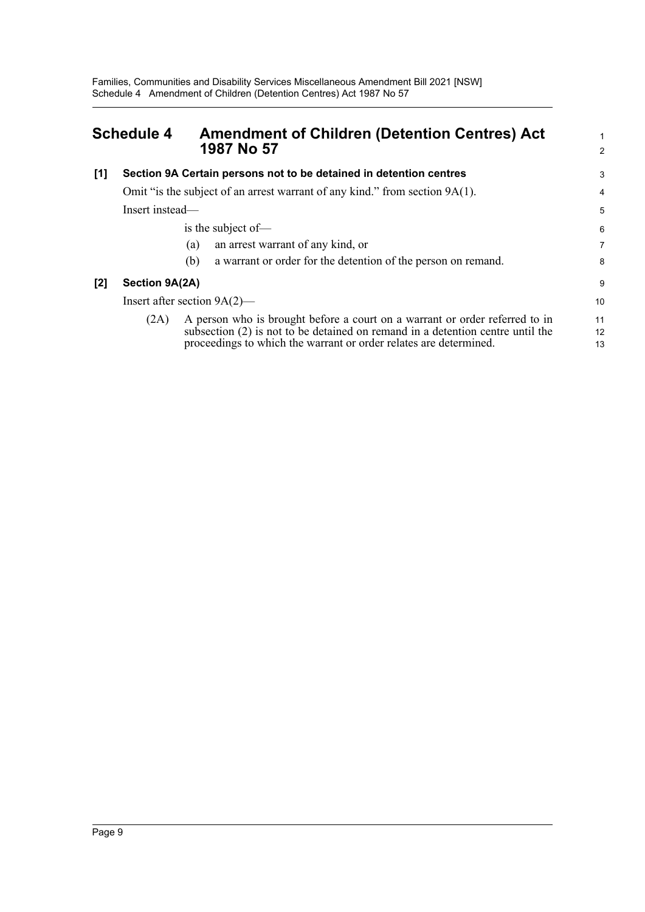<span id="page-12-0"></span>

| <b>Schedule 4</b> |                 | <b>Amendment of Children (Detention Centres) Act</b><br>1987 No 57                                                                                                                                                                   |                |
|-------------------|-----------------|--------------------------------------------------------------------------------------------------------------------------------------------------------------------------------------------------------------------------------------|----------------|
| $[1]$             |                 | Section 9A Certain persons not to be detained in detention centres                                                                                                                                                                   | 3              |
|                   |                 | Omit "is the subject of an arrest warrant of any kind." from section 9A(1).                                                                                                                                                          | 4              |
|                   | Insert instead— |                                                                                                                                                                                                                                      | 5              |
|                   |                 | is the subject of-                                                                                                                                                                                                                   | 6              |
|                   |                 | an arrest warrant of any kind, or<br>(a)                                                                                                                                                                                             | 7              |
|                   |                 | a warrant or order for the detention of the person on remand.<br>(b)                                                                                                                                                                 | 8              |
| [2]               | Section 9A(2A)  |                                                                                                                                                                                                                                      | 9              |
|                   |                 | Insert after section $9A(2)$ —                                                                                                                                                                                                       | 10             |
|                   | (2A)            | A person who is brought before a court on a warrant or order referred to in<br>subsection $(2)$ is not to be detained on remand in a detention centre until the<br>proceedings to which the warrant or order relates are determined. | 11<br>12<br>13 |